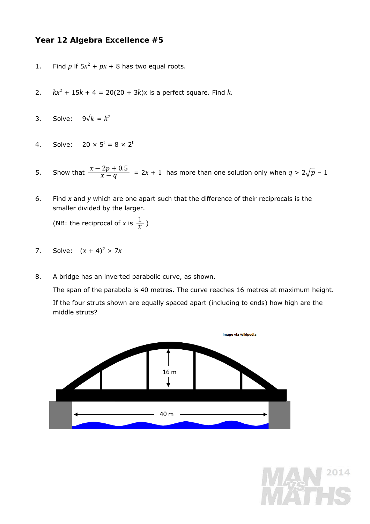## **Year 12 Algebra Excellence #5**

- 1. Find *p* if  $5x^2 + px + 8$  has two equal roots.
- 2.  $kx^2 + 15k + 4 = 20(20 + 3k)x$  is a perfect square. Find *k*.
- 3. Solve:  $9\sqrt{k} = k^2$
- 4. Solve:  $20 \times 5^t = 8 \times 2^t$
- 5. Show that  $\frac{x-2p+0.5}{x-q} = 2x + 1$  has more than one solution only when  $q > 2\sqrt{p} 1$
- 6. Find *x* and *y* which are one apart such that the difference of their reciprocals is the smaller divided by the larger.

(NB: the reciprocal of *x* is  $\frac{1}{x}$ )

- 7. Solve:  $(x + 4)^2 > 7x$
- 8. A bridge has an inverted parabolic curve, as shown.

The span of the parabola is 40 metres. The curve reaches 16 metres at maximum height. If the four struts shown are equally spaced apart (including to ends) how high are the middle struts?



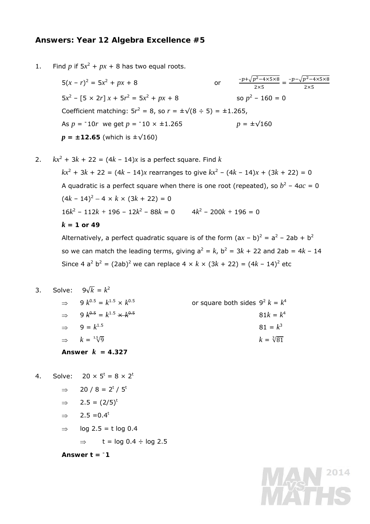## **Answers: Year 12 Algebra Excellence #5**

1. Find *p* if  $5x^2 + px + 8$  has two equal roots.

 $5(x - r)^2 = 5x^2$ +  $px + 8$  or  $\frac{-p + \sqrt{p^2 - 4 \times 5 \times 8}}{2 \times 5} = \frac{-p - \sqrt{p^2 - 4 \times 5 \times 8}}{2 \times 5}$  $2\times 5$  $5x^2 - [5 \times 2r] x + 5r^2 = 5x^2 + px + 8$  so  $p^2$ so  $p^2$  – 160 = 0 Coefficient matching:  $5r^2 = 8$ , so  $r = \pm \sqrt{(8 \div 5)} = \pm 1.265$ , As  $p = -10r$  we get  $p = -10 \times \pm 1.265$   $p = \pm \sqrt{160}$  $p = \pm 12.65$  (which is  $\pm \sqrt{160}$ )

2. 
$$
kx^2 + 3k + 22 = (4k - 14)x
$$
 is a perfect square. Find k  
\n $kx^2 + 3k + 22 = (4k - 14)x$  rearranges to give  $kx^2 - (4k - 14)x + (3k + 22) = 0$   
\nA quadratic is a perfect square when there is one root (repeated), so  $b^2 - 4ac = 0$   
\n $(4k - 14)^2 - 4 \times k \times (3k + 22) = 0$   
\n $16k^2 - 112k + 196 - 12k^2 - 88k = 0$   $4k^2 - 200k + 196 = 0$   
\n $k = 1$  or 49  
\nAlternatively, a perfect quadratic square is of the form  $(ax - b)^2 = a^2 - 2ab + b^2$ 

so we can match the leading terms, giving  $a^2 = k$ ,  $b^2 = 3k + 22$  and  $2ab = 4k - 14$ Since 4  $a^2 b^2 = (2ab)^2$  we can replace 4  $\times k \times (3k + 22) = (4k - 14)^2$  etc

**MAN 2014** 

|                    |  | 3. Solve: $9\sqrt{k} = k^2$                        |                                    |
|--------------------|--|----------------------------------------------------|------------------------------------|
|                    |  | $\Rightarrow$ 9 $k^{0.5} = k^{1.5} \times k^{0.5}$ | or square both sides $9^2 k = k^4$ |
|                    |  | $\Rightarrow$ 9 $k^{0.5} = k^{1.5} \times k^{0.5}$ | $81k = k^4$                        |
|                    |  | $\Rightarrow$ 9 = $k^{1.5}$                        | $81 = k^3$                         |
|                    |  | $\Rightarrow k = \sqrt[1.5]{9}$                    | $k = \sqrt[3]{81}$                 |
| Answer $k = 4.327$ |  |                                                    |                                    |

- 4. Solve:  $20 \times 5^t = 8 \times 2^t$ 
	- ⇒ 20 / 8 = 2<sup>*t*</sup> / 5<sup>*t*</sup>
	- $\Rightarrow$  2.5 = (2/5)<sup>*t*</sup>
	- $\Rightarrow$  2.5 = 0.4<sup>*t*</sup>
	- $\Rightarrow$  log 2.5 = *t* log 0.4
		- $\Rightarrow$  *t* = log 0.4 ÷ log 2.5

Answer  $t = -1$